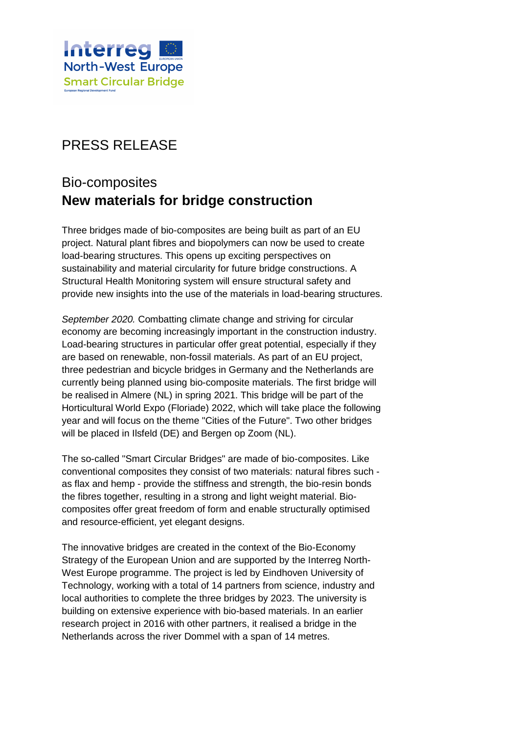

## PRESS RELEASE

# Bio-composites **New materials for bridge construction**

Three bridges made of bio-composites are being built as part of an EU project. Natural plant fibres and biopolymers can now be used to create load-bearing structures. This opens up exciting perspectives on sustainability and material circularity for future bridge constructions. A Structural Health Monitoring system will ensure structural safety and provide new insights into the use of the materials in load-bearing structures.

*September 2020.* Combatting climate change and striving for circular economy are becoming increasingly important in the construction industry. Load-bearing structures in particular offer great potential, especially if they are based on renewable, non-fossil materials. As part of an EU project, three pedestrian and bicycle bridges in Germany and the Netherlands are currently being planned using bio-composite materials. The first bridge will be realised in Almere (NL) in spring 2021. This bridge will be part of the Horticultural World Expo (Floriade) 2022, which will take place the following year and will focus on the theme "Cities of the Future". Two other bridges will be placed in Ilsfeld (DE) and Bergen op Zoom (NL).

The so-called "Smart Circular Bridges" are made of bio-composites. Like conventional composites they consist of two materials: natural fibres such as flax and hemp - provide the stiffness and strength, the bio-resin bonds the fibres together, resulting in a strong and light weight material. Biocomposites offer great freedom of form and enable structurally optimised and resource-efficient, yet elegant designs.

The innovative bridges are created in the context of the Bio-Economy Strategy of the European Union and are supported by the Interreg North-West Europe programme. The project is led by Eindhoven University of Technology, working with a total of 14 partners from science, industry and local authorities to complete the three bridges by 2023. The university is building on extensive experience with bio-based materials. In an earlier research project in 2016 with other partners, it realised a bridge in the Netherlands across the river Dommel with a span of 14 metres.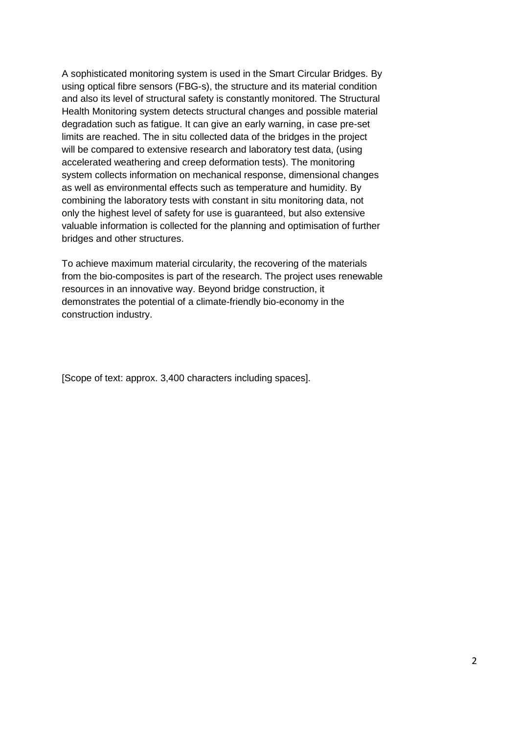A sophisticated monitoring system is used in the Smart Circular Bridges. By using optical fibre sensors (FBG-s), the structure and its material condition and also its level of structural safety is constantly monitored. The Structural Health Monitoring system detects structural changes and possible material degradation such as fatigue. It can give an early warning, in case pre-set limits are reached. The in situ collected data of the bridges in the project will be compared to extensive research and laboratory test data, (using accelerated weathering and creep deformation tests). The monitoring system collects information on mechanical response, dimensional changes as well as environmental effects such as temperature and humidity. By combining the laboratory tests with constant in situ monitoring data, not only the highest level of safety for use is guaranteed, but also extensive valuable information is collected for the planning and optimisation of further bridges and other structures.

To achieve maximum material circularity, the recovering of the materials from the bio-composites is part of the research. The project uses renewable resources in an innovative way. Beyond bridge construction, it demonstrates the potential of a climate-friendly bio-economy in the construction industry.

[Scope of text: approx. 3,400 characters including spaces].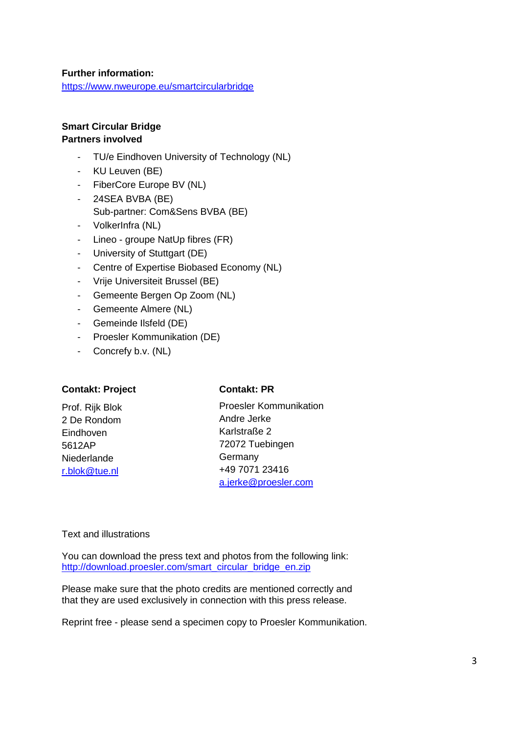### **Further information:**

<https://www.nweurope.eu/smartcircularbridge>

### **Smart Circular Bridge Partners involved**

- TU/e Eindhoven University of Technology (NL)
- KU Leuven (BE)
- FiberCore Europe BV (NL)
- 24SEA BVBA (BE)
- Sub-partner: Com&Sens BVBA (BE)
- VolkerInfra (NL)
- Lineo groupe NatUp fibres (FR)
- University of Stuttgart (DE)
- Centre of Expertise Biobased Economy (NL)
- Vrije Universiteit Brussel (BE)
- Gemeente Bergen Op Zoom (NL)
- Gemeente Almere (NL)
- Gemeinde Ilsfeld (DE)
- Proesler Kommunikation (DE)
- Concrefy b.v. (NL)

#### **Contakt: Project**

#### **Contakt: PR**

Prof. Rijk Blok 2 De Rondom Eindhoven 5612AP Niederlande [r.blok@tue.nl](mailto:r.blok@tue.nl)

Proesler Kommunikation Andre Jerke Karlstraße 2 72072 Tuebingen **Germany** +49 7071 23416 [a.jerke@proesler.com](mailto:a.jerke@proesler.com)

Text and illustrations

You can download the press text and photos from the following link: [http://download.proesler.com/smart\\_circular\\_bridge\\_en.zip](http://download.proesler.com/smart_circular_bridge_en.zip)

Please make sure that the photo credits are mentioned correctly and that they are used exclusively in connection with this press release.

Reprint free - please send a specimen copy to Proesler Kommunikation.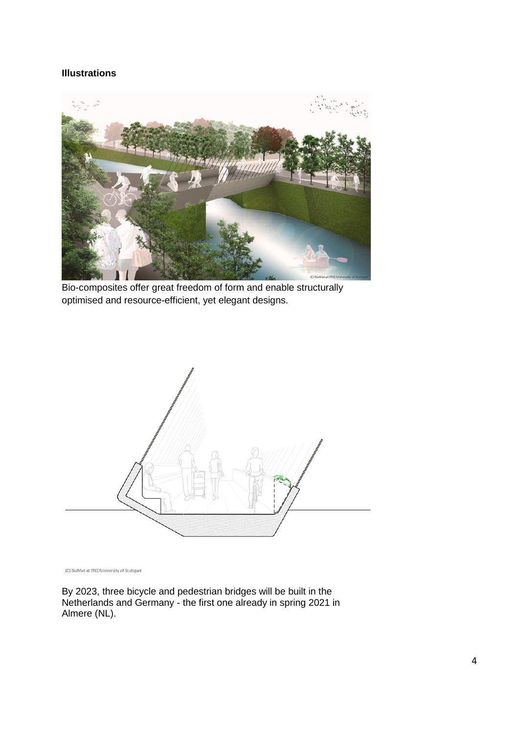## **Illustrations**



Bio-composites offer great freedom of form and enable structurally optimised and resource-efficient, yet elegant designs.



(C) BioMat at ITKE/University of Stuttgart

By 2023, three bicycle and pedestrian bridges will be built in the Netherlands and Germany - the first one already in spring 2021 in Almere (NL).